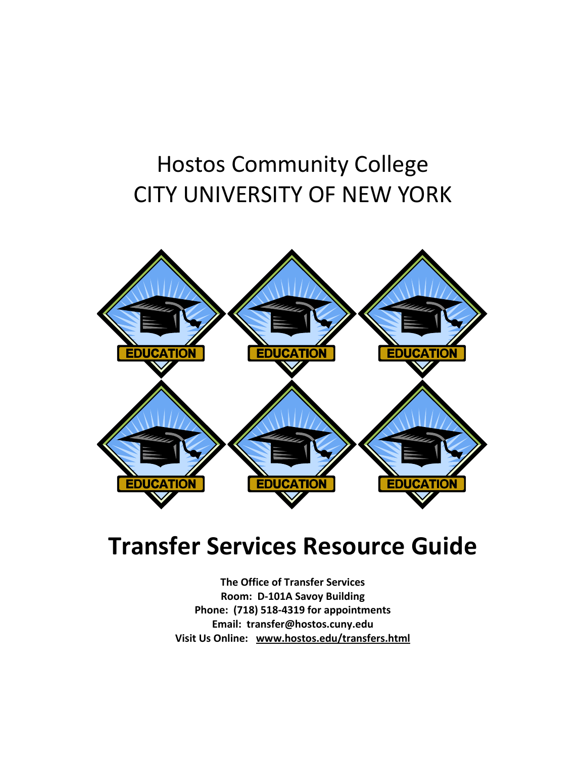### Hostos Community College CITY UNIVERSITY OF NEW YORK



### **Transfer Services Resource Guide**

**The Office of Transfer Services Room: D-101A Savoy Building Phone: (718) 518-4319 for appointments Email: transfer@hostos.cuny.edu Visit Us Online: [www.hostos.edu/transfers.html](http://www.hostos.edu/transfers.html)**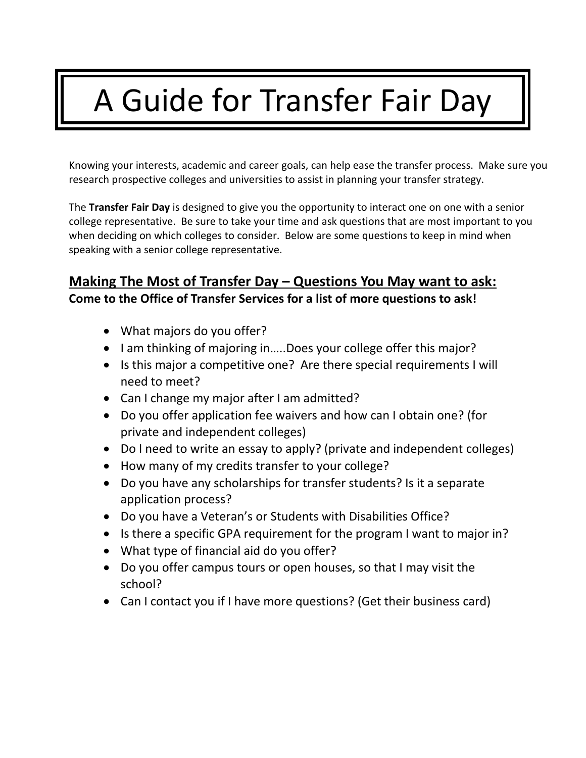# A Guide for Transfer Fair Day

Knowing your interests, academic and career goals, can help ease the transfer process. Make sure you research prospective colleges and universities to assist in planning your transfer strategy.

The **Transfer Fair Day** is designed to give you the opportunity to interact one on one with a senior college representative. Be sure to take your time and ask questions that are most important to you when deciding on which colleges to consider. Below are some questions to keep in mind when speaking with a senior college representative.

### **Making The Most of Transfer Day – Questions You May want to ask:**

**Come to the Office of Transfer Services for a list of more questions to ask!**

- What majors do you offer?
- I am thinking of majoring in.....Does your college offer this major?
- Is this major a competitive one? Are there special requirements I will need to meet?
- Can I change my major after I am admitted?
- Do you offer application fee waivers and how can I obtain one? (for private and independent colleges)
- Do I need to write an essay to apply? (private and independent colleges)
- How many of my credits transfer to your college?
- Do you have any scholarships for transfer students? Is it a separate application process?
- Do you have a Veteran's or Students with Disabilities Office?
- Is there a specific GPA requirement for the program I want to major in?
- What type of financial aid do you offer?
- Do you offer campus tours or open houses, so that I may visit the school?
- Can I contact you if I have more questions? (Get their business card)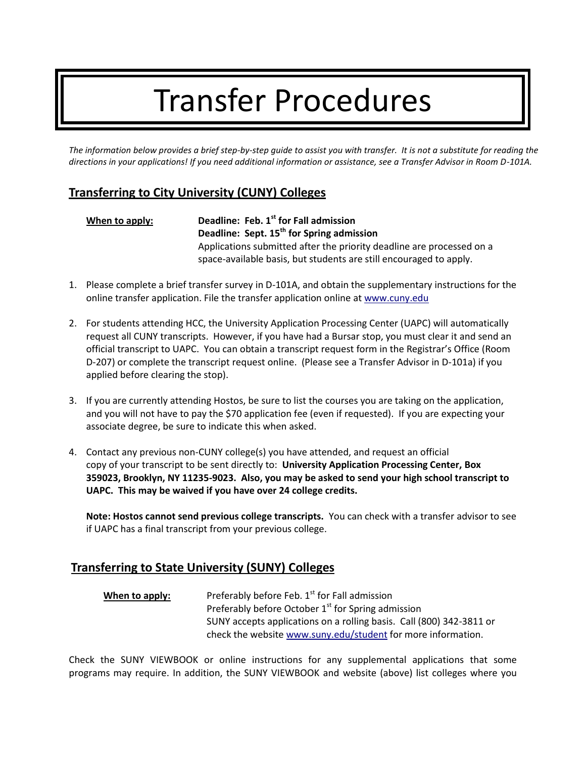## Transfer Procedures

*The information below provides a brief step-by-step guide to assist you with transfer. It is not a substitute for reading the directions in your applications! If you need additional information or assistance, see a Transfer Advisor in Room D-101A.*

#### **Transferring to City University (CUNY) Colleges**

| When to apply: | Deadline: Feb. 1 <sup>st</sup> for Fall admission<br>Deadline: Sept. 15 <sup>th</sup> for Spring admission                                  |
|----------------|---------------------------------------------------------------------------------------------------------------------------------------------|
|                | Applications submitted after the priority deadline are processed on a<br>space-available basis, but students are still encouraged to apply. |

- 1. Please complete a brief transfer survey in D-101A, and obtain the supplementary instructions for the online transfer application. File the transfer application online at www.cuny.edu
- 2. For students attending HCC, the University Application Processing Center (UAPC) will automatically request all CUNY transcripts. However, if you have had a Bursar stop, you must clear it and send an official transcript to UAPC. You can obtain a transcript request form in the Registrar's Office (Room D-207) or complete the transcript request online. (Please see a Transfer Advisor in D-101a) if you applied before clearing the stop).
- 3. If you are currently attending Hostos, be sure to list the courses you are taking on the application, and you will not have to pay the \$70 application fee (even if requested). If you are expecting your associate degree, be sure to indicate this when asked.
- 4. Contact any previous non-CUNY college(s) you have attended, and request an official copy of your transcript to be sent directly to: **University Application Processing Center, Box 359023, Brooklyn, NY 11235-9023. Also, you may be asked to send your high school transcript to UAPC. This may be waived if you have over 24 college credits.**

**Note: Hostos cannot send previous college transcripts.** You can check with a transfer advisor to see if UAPC has a final transcript from your previous college.

#### **Transferring to State University (SUNY) Colleges**

**When to apply:** Preferably before Feb. 1<sup>st</sup> for Fall admission Preferably before October  $1<sup>st</sup>$  for Spring admission SUNY accepts applications on a rolling basis. Call (800) 342-3811 or check the website www.suny.edu/student for more information.

Check the SUNY VIEWBOOK or online instructions for any supplemental applications that some programs may require. In addition, the SUNY VIEWBOOK and website (above) list colleges where you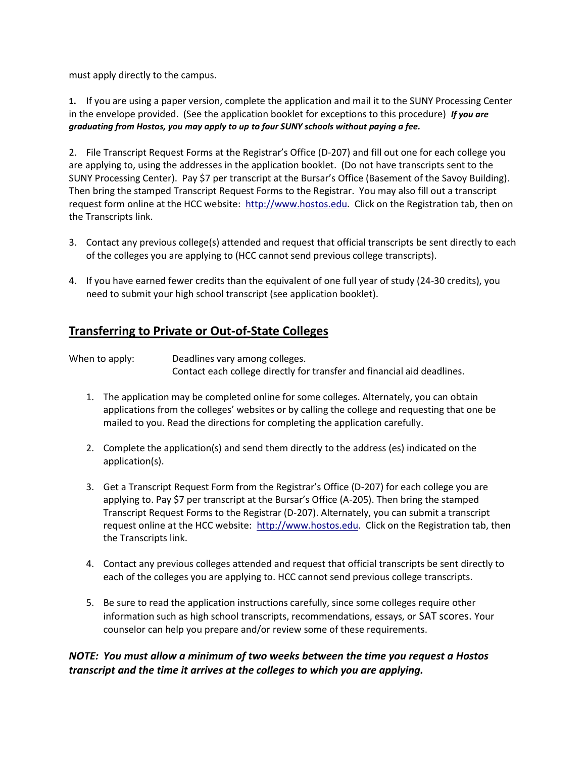must apply directly to the campus.

**1.** If you are using a paper version, complete the application and mail it to the SUNY Processing Center in the envelope provided. (See the application booklet for exceptions to this procedure) *If you are graduating from Hostos, you may apply to up to four SUNY schools without paying a fee.*

2. File Transcript Request Forms at the Registrar's Office (D-207) and fill out one for each college you are applying to, using the addresses in the application booklet. (Do not have transcripts sent to the SUNY Processing Center). Pay \$7 per transcript at the Bursar's Office (Basement of the Savoy Building). Then bring the stamped Transcript Request Forms to the Registrar. You may also fill out a transcript request form online at the HCC website: http://www.hostos.edu. Click on the Registration tab, then on the Transcripts link.

- 3. Contact any previous college(s) attended and request that official transcripts be sent directly to each of the colleges you are applying to (HCC cannot send previous college transcripts).
- 4. If you have earned fewer credits than the equivalent of one full year of study (24-30 credits), you need to submit your high school transcript (see application booklet).

#### **Transferring to Private or Out-of-State Colleges**

When to apply: Deadlines vary among colleges. Contact each college directly for transfer and financial aid deadlines.

- 1. The application may be completed online for some colleges. Alternately, you can obtain applications from the colleges' websites or by calling the college and requesting that one be mailed to you. Read the directions for completing the application carefully.
- 2. Complete the application(s) and send them directly to the address (es) indicated on the application(s).
- 3. Get a Transcript Request Form from the Registrar's Office (D-207) for each college you are applying to. Pay \$7 per transcript at the Bursar's Office (A-205). Then bring the stamped Transcript Request Forms to the Registrar (D-207). Alternately, you can submit a transcript request online at the HCC website: http://www.hostos.edu. Click on the Registration tab, then the Transcripts link.
- 4. Contact any previous colleges attended and request that official transcripts be sent directly to each of the colleges you are applying to. HCC cannot send previous college transcripts.
- 5. Be sure to read the application instructions carefully, since some colleges require other information such as high school transcripts, recommendations, essays, or SAT scores. Your counselor can help you prepare and/or review some of these requirements.

#### *NOTE: You must allow a minimum of two weeks between the time you request a Hostos transcript and the time it arrives at the colleges to which you are applying.*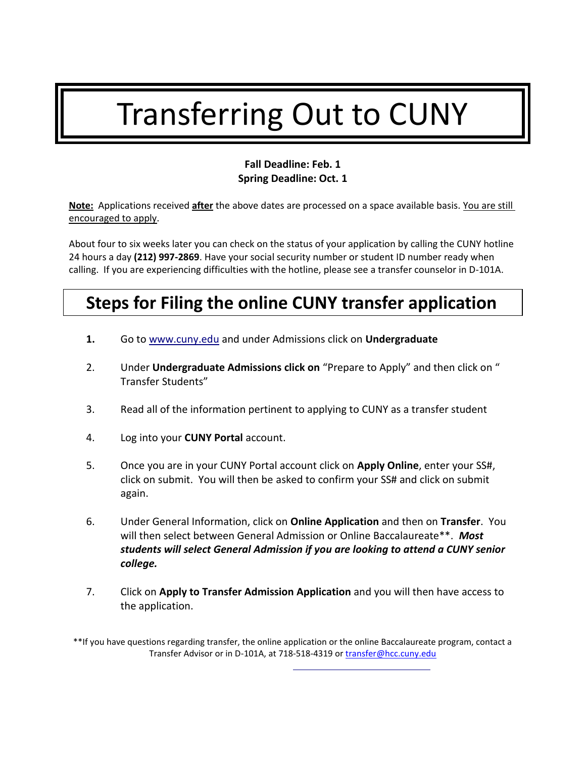## Transferring Out to CUNY

#### **Fall Deadline: Feb. 1 Spring Deadline: Oct. 1**

**Note:** Applications received **after** the above dates are processed on a space available basis. You are still encouraged to apply.

About four to six weeks later you can check on the status of your application by calling the CUNY hotline 24 hours a day **(212) 997-2869**. Have your social security number or student ID number ready when calling. If you are experiencing difficulties with the hotline, please see a transfer counselor in D-101A.

### **Steps for Filing the online CUNY transfer application**

- **1.** Go to www.cuny.edu and under Admissions click on **Undergraduate**
- 2. Under **Undergraduate Admissions click on** "Prepare to Apply" and then click on " Transfer Students"
- 3. Read all of the information pertinent to applying to CUNY as a transfer student
- 4. Log into your **CUNY Portal** account.
- 5. Once you are in your CUNY Portal account click on **Apply Online**, enter your SS#, click on submit. You will then be asked to confirm your SS# and click on submit again.
- 6. Under General Information, click on **Online Application** and then on **Transfer**. You will then select between General Admission or Online Baccalaureate\*\*. *Most students will select General Admission if you are looking to attend a CUNY senior college.*
- 7. Click on **Apply to Transfer Admission Application** and you will then have access to the application.

\*\*If you have questions regarding transfer, the online application or the online Baccalaureate program, contact a Transfer Advisor or in D-101A, at 718-518-4319 or [transfer@hcc.cuny.edu](mailto:transfer@hcc.cuny.edu)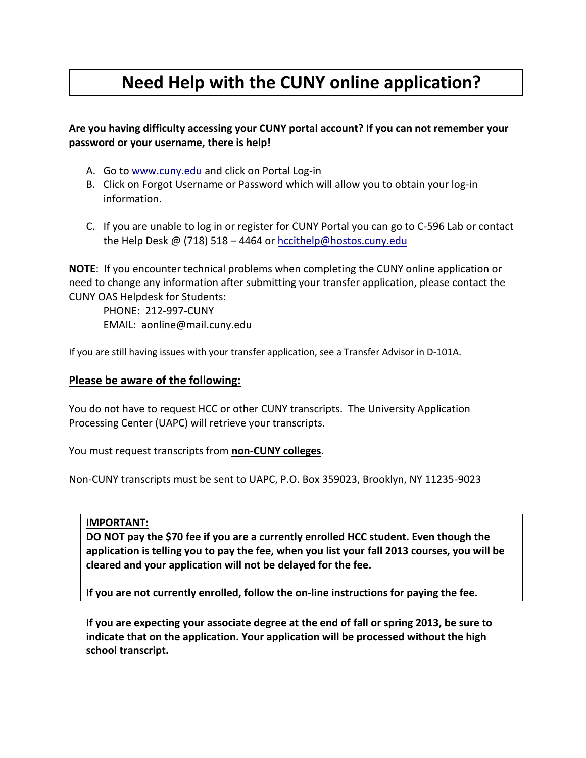### **Need Help with the CUNY online application?**

#### **Are you having difficulty accessing your CUNY portal account? If you can not remember your password or your username, there is help!**

- A. Go to www.cuny.edu and click on Portal Log-in
- B. Click on Forgot Username or Password which will allow you to obtain your log-in information.
- C. If you are unable to log in or register for CUNY Portal you can go to C-596 Lab or contact the Help Desk @ (718) 518 - 4464 or hccithelp@hostos.cuny.edu

**NOTE**: If you encounter technical problems when completing the CUNY online application or need to change any information after submitting your transfer application, please contact the CUNY OAS Helpdesk for Students:

PHONE: 212-997-CUNY EMAIL: aonline@mail.cuny.edu

If you are still having issues with your transfer application, see a Transfer Advisor in D-101A.

#### **Please be aware of the following:**

You do not have to request HCC or other CUNY transcripts. The University Application Processing Center (UAPC) will retrieve your transcripts.

You must request transcripts from **non-CUNY colleges**.

Non-CUNY transcripts must be sent to UAPC, P.O. Box 359023, Brooklyn, NY 11235-9023

#### **IMPORTANT:**

**DO NOT pay the \$70 fee if you are a currently enrolled HCC student. Even though the application is telling you to pay the fee, when you list your fall 2013 courses, you will be cleared and your application will not be delayed for the fee.** 

**If you are not currently enrolled, follow the on-line instructions for paying the fee.**

**If you are expecting your associate degree at the end of fall or spring 2013, be sure to indicate that on the application. Your application will be processed without the high school transcript.**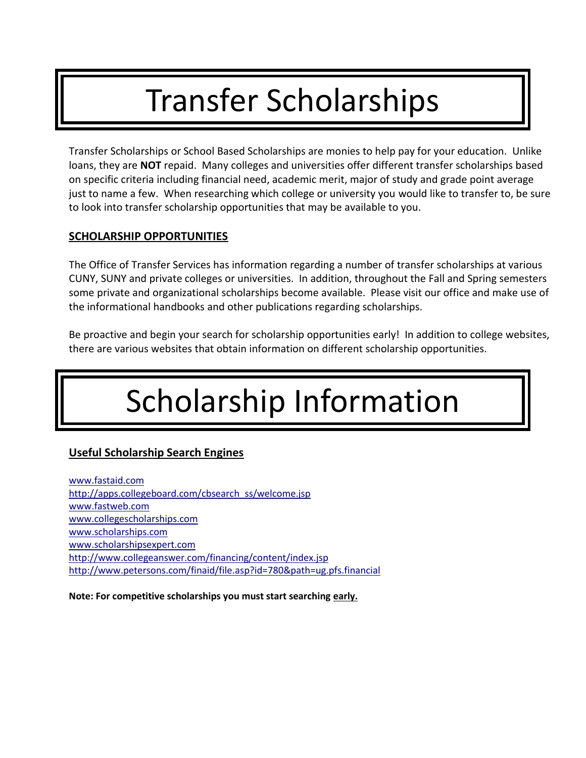## Transfer Scholarships

Transfer Scholarships or School Based Scholarships are monies to help pay for your education. Unlike loans, they are **NOT** repaid. Many colleges and universities offer different transfer scholarships based on specific criteria including financial need, academic merit, major of study and grade point average just to name a few. When researching which college or university you would like to transfer to, be sure to look into transfer scholarship opportunities that may be available to you.

#### **SCHOLARSHIP OPPORTUNITIES**

The Office of Transfer Services has information regarding a number of transfer scholarships at various CUNY, SUNY and private colleges or universities. In addition, throughout the Fall and Spring semesters some private and organizational scholarships become available. Please visit our office and make use of the informational handbooks and other publications regarding scholarships.

Be proactive and begin your search for scholarship opportunities early! In addition to college websites, there are various websites that obtain information on different scholarship opportunities.

# Scholarship Information

#### **Useful Scholarship Search Engines**

www.fastaid.com http://apps.collegeboard.com/cbsearch\_ss/welcome.jsp www.fastweb.com www.collegescholarships.com www.scholarships.com www.scholarshipsexpert.com http://www.collegeanswer.com/financing/content/index.jsp http://www.petersons.com/finaid/file.asp?id=780&path=ug.pfs.financial

**Note: For competitive scholarships you must start searching early.**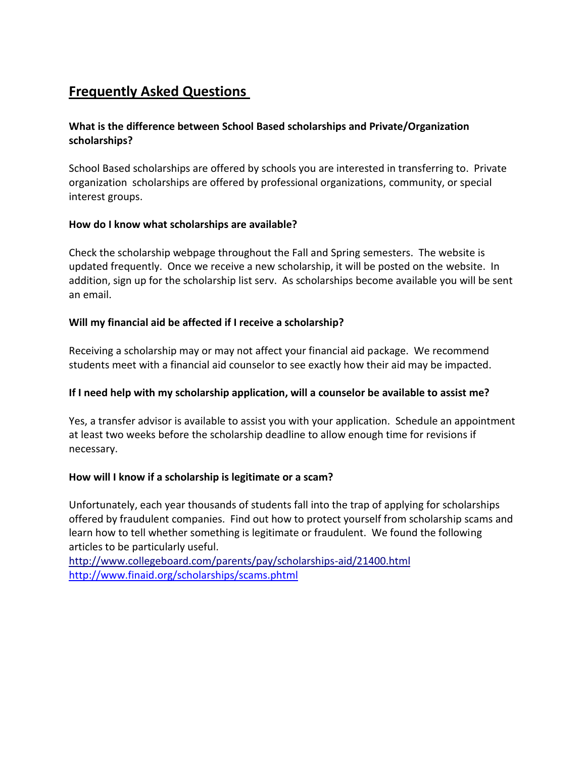### **Frequently Asked Questions**

#### **What is the difference between School Based scholarships and Private/Organization scholarships?**

School Based scholarships are offered by schools you are interested in transferring to. Private organization scholarships are offered by professional organizations, community, or special interest groups.

#### **How do I know what scholarships are available?**

Check the scholarship webpage throughout the Fall and Spring semesters. The website is updated frequently. Once we receive a new scholarship, it will be posted on the website. In addition, sign up for the scholarship list serv. As scholarships become available you will be sent an email.

#### **Will my financial aid be affected if I receive a scholarship?**

Receiving a scholarship may or may not affect your financial aid package. We recommend students meet with a financial aid counselor to see exactly how their aid may be impacted.

#### **If I need help with my scholarship application, will a counselor be available to assist me?**

Yes, a transfer advisor is available to assist you with your application. Schedule an appointment at least two weeks before the scholarship deadline to allow enough time for revisions if necessary.

#### **How will I know if a scholarship is legitimate or a scam?**

Unfortunately, each year thousands of students fall into the trap of applying for scholarships offered by fraudulent companies. Find out how to protect yourself from scholarship scams and learn how to tell whether something is legitimate or fraudulent. We found the following articles to be particularly useful.

http://www.collegeboard.com/parents/pay/scholarships-aid/21400.html <http://www.finaid.org/scholarships/scams.phtml>